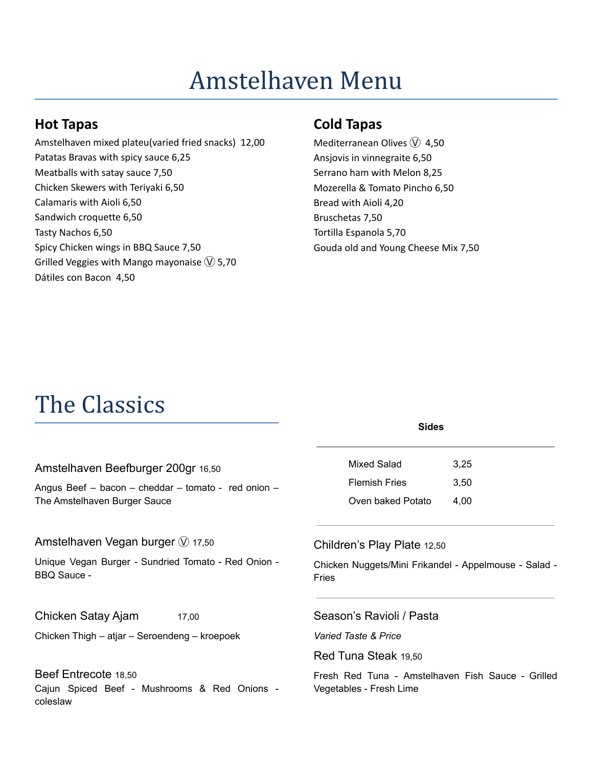# Amstelhaven Menu

#### **Hot Tapas**

Amstelhaven mixed plateu(varied fried snacks) 12,00 Patatas Bravas with spicy sauce 6,25 Meatballs with satay sauce 7,50 Chicken Skewers with Teriyaki 6,50 Calamaris with Aioli 6,50 Sandwich croquette 6,50 Tasty Nachos 6,50 Spicy Chicken wings in BBQ Sauce 7,50 Grilled Veggies with Mango mayonaise  $\heartsuit$  5,70 Dátiles con Bacon 4,50

### **Cold Tapas**

Mediterranean Olives  $\overline{W}$  4,50 Ansjovis in vinnegraite 6,50 Serrano ham with Melon 8,25 Mozerella & Tomato Pincho 6,50 Bread with Aioli 4,20 Bruschetas 7,50 Tortilla Espanola 5,70 Gouda old and Young Cheese Mix 7,50

# The Classics

|                                                                              | <b>Sides</b>                                          |      |
|------------------------------------------------------------------------------|-------------------------------------------------------|------|
| Amstelhaven Beefburger 200gr 16,50                                           | Mixed Salad                                           | 3,25 |
| Angus Beef - bacon - cheddar - tomato - red onion -                          | <b>Flemish Fries</b>                                  | 3,50 |
| The Amstelhaven Burger Sauce                                                 | Oven baked Potato                                     | 4,00 |
| Amstelhaven Vegan burger $\mathbb W$ 17,50                                   | Children's Play Plate 12,50                           |      |
| Unique Vegan Burger - Sundried Tomato - Red Onion -                          | Chicken Nuggets/Mini Frikandel - Appelmouse - Salad - |      |
| <b>BBQ Sauce -</b>                                                           | <b>Fries</b>                                          |      |
| Chicken Satay Ajam<br>17,00<br>Chicken Thigh – atjar – Seroendeng – kroepoek | Season's Ravioli / Pasta<br>Varied Taste & Price      |      |
| Beef Entrecote 18,50                                                         | Red Tuna Steak 19,50                                  |      |
| Cajun Spiced Beef - Mushrooms & Red Onions -                                 | Fresh Red Tuna - Amstelhaven Fish Sauce - Grilled     |      |
| coleslaw                                                                     | Vegetables - Fresh Lime                               |      |